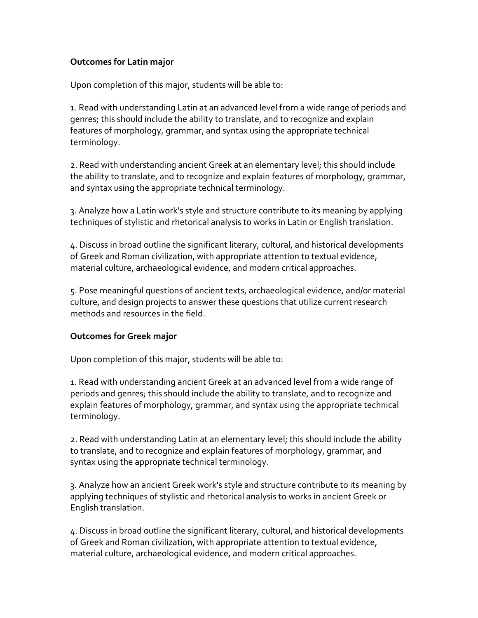# **Outcomes for Latin major**

Upon completion of this major, students will be able to:

1. Read with understanding Latin at an advanced level from a wide range of periods and genres; this should include the ability to translate, and to recognize and explain features of morphology, grammar, and syntax using the appropriate technical terminology.

2. Read with understanding ancient Greek at an elementary level; this should include the ability to translate, and to recognize and explain features of morphology, grammar, and syntax using the appropriate technical terminology.

3. Analyze how a Latin work's style and structure contribute to its meaning by applying techniques of stylistic and rhetorical analysis to works in Latin or English translation.

4. Discuss in broad outline the significant literary, cultural, and historical developments of Greek and Roman civilization, with appropriate attention to textual evidence, material culture, archaeological evidence, and modern critical approaches.

5. Pose meaningful questions of ancient texts, archaeological evidence, and/or material culture, and design projects to answer these questions that utilize current research methods and resources in the field.

### **Outcomes for Greek major**

Upon completion of this major, students will be able to:

1. Read with understanding ancient Greek at an advanced level from a wide range of periods and genres; this should include the ability to translate, and to recognize and explain features of morphology, grammar, and syntax using the appropriate technical terminology.

2. Read with understanding Latin at an elementary level; this should include the ability to translate, and to recognize and explain features of morphology, grammar, and syntax using the appropriate technical terminology.

3. Analyze how an ancient Greek work's style and structure contribute to its meaning by applying techniques of stylistic and rhetorical analysis to works in ancient Greek or English translation.

4. Discuss in broad outline the significant literary, cultural, and historical developments of Greek and Roman civilization, with appropriate attention to textual evidence, material culture, archaeological evidence, and modern critical approaches.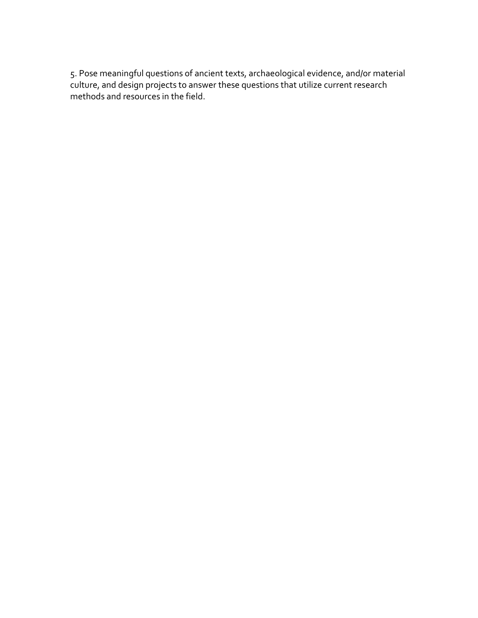5. Pose meaningful questions of ancient texts, archaeological evidence, and/or material culture, and design projects to answer these questions that utilize current research methods and resources in the field.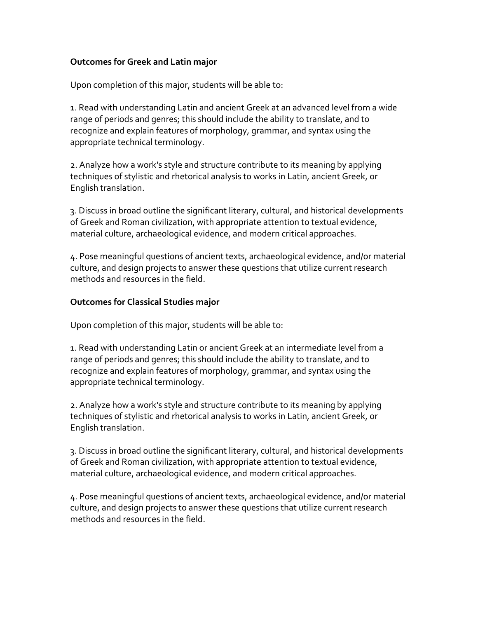### **Outcomes for Greek and Latin major**

Upon completion of this major, students will be able to:

1. Read with understanding Latin and ancient Greek at an advanced level from a wide range of periods and genres; this should include the ability to translate, and to recognize and explain features of morphology, grammar, and syntax using the appropriate technical terminology.

2. Analyze how a work's style and structure contribute to its meaning by applying techniques of stylistic and rhetorical analysis to works in Latin, ancient Greek, or English translation.

3. Discuss in broad outline the significant literary, cultural, and historical developments of Greek and Roman civilization, with appropriate attention to textual evidence, material culture, archaeological evidence, and modern critical approaches.

4. Pose meaningful questions of ancient texts, archaeological evidence, and/or material culture, and design projects to answer these questions that utilize current research methods and resources in the field.

# **Outcomes for Classical Studies major**

Upon completion of this major, students will be able to:

1. Read with understanding Latin or ancient Greek at an intermediate level from a range of periods and genres; this should include the ability to translate, and to recognize and explain features of morphology, grammar, and syntax using the appropriate technical terminology.

2. Analyze how a work's style and structure contribute to its meaning by applying techniques of stylistic and rhetorical analysis to works in Latin, ancient Greek, or English translation.

3. Discuss in broad outline the significant literary, cultural, and historical developments of Greek and Roman civilization, with appropriate attention to textual evidence, material culture, archaeological evidence, and modern critical approaches.

4. Pose meaningful questions of ancient texts, archaeological evidence, and/or material culture, and design projects to answer these questions that utilize current research methods and resources in the field.